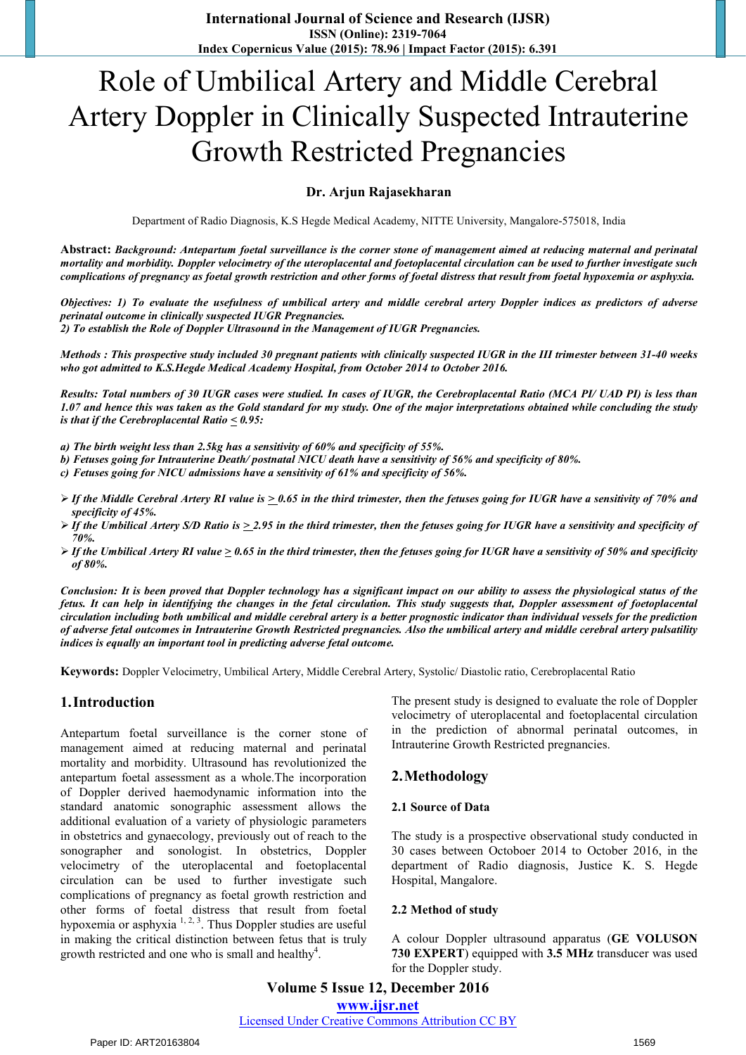# Role of Umbilical Artery and Middle Cerebral Artery Doppler in Clinically Suspected Intrauterine Growth Restricted Pregnancies

## **Dr. Arjun Rajasekharan**

Department of Radio Diagnosis, K.S Hegde Medical Academy, NITTE University, Mangalore-575018, India

**Abstract:** *Background: Antepartum foetal surveillance is the corner stone of management aimed at reducing maternal and perinatal mortality and morbidity. Doppler velocimetry of the uteroplacental and foetoplacental circulation can be used to further investigate such complications of pregnancy as foetal growth restriction and other forms of foetal distress that result from foetal hypoxemia or asphyxia.*

*Objectives: 1) To evaluate the usefulness of umbilical artery and middle cerebral artery Doppler indices as predictors of adverse perinatal outcome in clinically suspected IUGR Pregnancies.* 

*2) To establish the Role of Doppler Ultrasound in the Management of IUGR Pregnancies.* 

*Methods : This prospective study included 30 pregnant patients with clinically suspected IUGR in the III trimester between 31-40 weeks who got admitted to K.S.Hegde Medical Academy Hospital, from October 2014 to October 2016.* 

*Results: Total numbers of 30 IUGR cases were studied. In cases of IUGR, the Cerebroplacental Ratio (MCA PI/ UAD PI) is less than 1.07 and hence this was taken as the Gold standard for my study. One of the major interpretations obtained while concluding the study is that if the Cerebroplacental Ratio < 0.95:* 

- *a) The birth weight less than 2.5kg has a sensitivity of 60% and specificity of 55%.*
- *b) Fetuses going for Intrauterine Death/ postnatal NICU death have a sensitivity of 56% and specificity of 80%.*
- *c) Fetuses going for NICU admissions have a sensitivity of 61% and specificity of 56%.*
- *If the Middle Cerebral Artery RI value is > 0.65 in the third trimester, then the fetuses going for IUGR have a sensitivity of 70% and specificity of 45%.*
- *If the Umbilical Artery S/D Ratio is > 2.95 in the third trimester, then the fetuses going for IUGR have a sensitivity and specificity of 70%.*
- *If the Umbilical Artery RI value > 0.65 in the third trimester, then the fetuses going for IUGR have a sensitivity of 50% and specificity of 80%.*

*Conclusion: It is been proved that Doppler technology has a significant impact on our ability to assess the physiological status of the fetus. It can help in identifying the changes in the fetal circulation. This study suggests that, Doppler assessment of foetoplacental circulation including both umbilical and middle cerebral artery is a better prognostic indicator than individual vessels for the prediction of adverse fetal outcomes in Intrauterine Growth Restricted pregnancies. Also the umbilical artery and middle cerebral artery pulsatility indices is equally an important tool in predicting adverse fetal outcome.* 

**Keywords:** Doppler Velocimetry, Umbilical Artery, Middle Cerebral Artery, Systolic/ Diastolic ratio, Cerebroplacental Ratio

## **1.Introduction**

Antepartum foetal surveillance is the corner stone of management aimed at reducing maternal and perinatal mortality and morbidity. Ultrasound has revolutionized the antepartum foetal assessment as a whole.The incorporation of Doppler derived haemodynamic information into the standard anatomic sonographic assessment allows the additional evaluation of a variety of physiologic parameters in obstetrics and gynaecology, previously out of reach to the sonographer and sonologist. In obstetrics, Doppler velocimetry of the uteroplacental and foetoplacental circulation can be used to further investigate such complications of pregnancy as foetal growth restriction and other forms of foetal distress that result from foetal hypoxemia or asphyxia <sup>1, 2, 3</sup>. Thus Doppler studies are useful in making the critical distinction between fetus that is truly growth restricted and one who is small and healthy<sup>4</sup>.

The present study is designed to evaluate the role of Doppler velocimetry of uteroplacental and foetoplacental circulation in the prediction of abnormal perinatal outcomes, in Intrauterine Growth Restricted pregnancies.

## **2.Methodology**

#### **2.1 Source of Data**

The study is a prospective observational study conducted in 30 cases between Octoboer 2014 to October 2016, in the department of Radio diagnosis, Justice K. S. Hegde Hospital, Mangalore.

#### **2.2 Method of study**

A colour Doppler ultrasound apparatus (**GE VOLUSON 730 EXPERT**) equipped with **3.5 MHz** transducer was used for the Doppler study.

## **Volume 5 Issue 12, December 2016 www.ijsr.net**

Licensed Under Creative Commons Attribution CC BY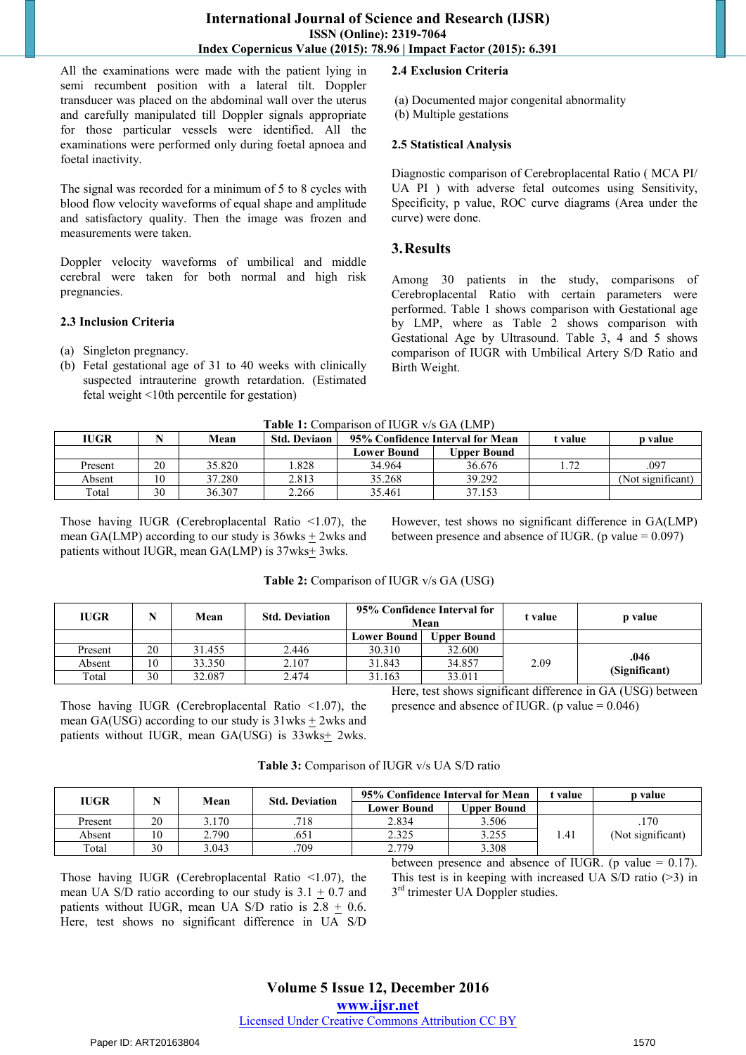All the examinations were made with the patient lying in semi recumbent position with a lateral tilt. Doppler transducer was placed on the abdominal wall over the uterus and carefully manipulated till Doppler signals appropriate for those particular vessels were identified. All the examinations were performed only during foetal apnoea and foetal inactivity.

The signal was recorded for a minimum of 5 to 8 cycles with blood flow velocity waveforms of equal shape and amplitude and satisfactory quality. Then the image was frozen and measurements were taken.

Doppler velocity waveforms of umbilical and middle cerebral were taken for both normal and high risk pregnancies.

## **2.3 Inclusion Criteria**

- (a) Singleton pregnancy.
- (b) Fetal gestational age of 31 to 40 weeks with clinically suspected intrauterine growth retardation. (Estimated fetal weight <10th percentile for gestation)

## **2.4 Exclusion Criteria**

- (a) Documented major congenital abnormality
- (b) Multiple gestations

#### **2.5 Statistical Analysis**

Diagnostic comparison of Cerebroplacental Ratio ( MCA PI/ UA PI ) with adverse fetal outcomes using Sensitivity, Specificity, p value, ROC curve diagrams (Area under the curve) were done.

## **3.Results**

Among 30 patients in the study, comparisons of Cerebroplacental Ratio with certain parameters were performed. Table 1 shows comparison with Gestational age by LMP, where as Table 2 shows comparison with Gestational Age by Ultrasound. Table 3, 4 and 5 shows comparison of IUGR with Umbilical Artery S/D Ratio and Birth Weight.

| <b>IUGR</b> |    | Mean   | <b>Std. Deviaon</b> | 95% Confidence Interval for Mean |                    | t value | p value           |
|-------------|----|--------|---------------------|----------------------------------|--------------------|---------|-------------------|
|             |    |        |                     | <b>Lower Bound</b>               | <b>Upper Bound</b> |         |                   |
| Present     | 20 | 35.820 | .828                | 34.964                           | 36.676             | l .72   | .097              |
| Absent      | 10 | 37.280 | 2.813               | 35.268                           | 39.292             |         | (Not significant) |
| Total       | 30 | 36.307 | 2.266               | 35.461                           | 37.153             |         |                   |

**Table 1:** Comparison of IUGR v/s GA (LMP)

Those having IUGR (Cerebroplacental Ratio  $\leq 1.07$ ), the mean GA(LMP) according to our study is  $36wks + 2wks$  and patients without IUGR, mean  $GA(LMP)$  is  $37wks \pm 3wks$ .

However, test shows no significant difference in GA(LMP) between presence and absence of IUGR. (p value  $= 0.097$ )

| <b>IUGR</b> |    | Mean   | <b>Std. Deviation</b> | 95% Confidence Interval for<br>Mean |                    | t value | p value       |
|-------------|----|--------|-----------------------|-------------------------------------|--------------------|---------|---------------|
|             |    |        |                       | <b>Lower Bound</b>                  | <b>Upper Bound</b> |         |               |
| Present     | 20 | 31.455 | 2.446                 | 30.310                              | 32.600             |         |               |
| Absent      | 10 | 33.350 | 2.107                 | 31.843                              | 34.857             | 2.09    | .046          |
| Total       | 30 | 32.087 | 2.474                 | 31.163                              | 33.011             |         | (Significant) |

**Table 2:** Comparison of IUGR v/s GA (USG)

Those having IUGR (Cerebroplacental Ratio <1.07), the mean GA(USG) according to our study is  $31wks + 2wks$  and patients without IUGR, mean GA(USG) is 33wks+ 2wks.

Here, test shows significant difference in GA (USG) between presence and absence of IUGR. (p value  $= 0.046$ )

|    |       |      | 95% Confidence Interval for Mean |                    | t value | p value           |
|----|-------|------|----------------------------------|--------------------|---------|-------------------|
|    |       |      | Lower Bound                      | <b>Upper Bound</b> |         |                   |
| 20 | 3.170 | 718  | 2.834                            | 3.506              |         | .170              |
| l0 | 2.790 | .651 | 2.325                            | 3.255              | l .41   | (Not significant) |
| 30 | 3.043 | .709 | 2.779                            | 3.308              |         |                   |
|    |       | Mean | <b>Std. Deviation</b>            |                    |         |                   |

Those having IUGR (Cerebroplacental Ratio <1.07), the mean UA S/D ratio according to our study is  $3.1 + 0.7$  and patients without IUGR, mean UA S/D ratio is  $2.8 \pm 0.6$ . Here, test shows no significant difference in UA S/D

between presence and absence of IUGR. (p value  $= 0.17$ ). This test is in keeping with increased UA S/D ratio (>3) in 3<sup>rd</sup> trimester UA Doppler studies.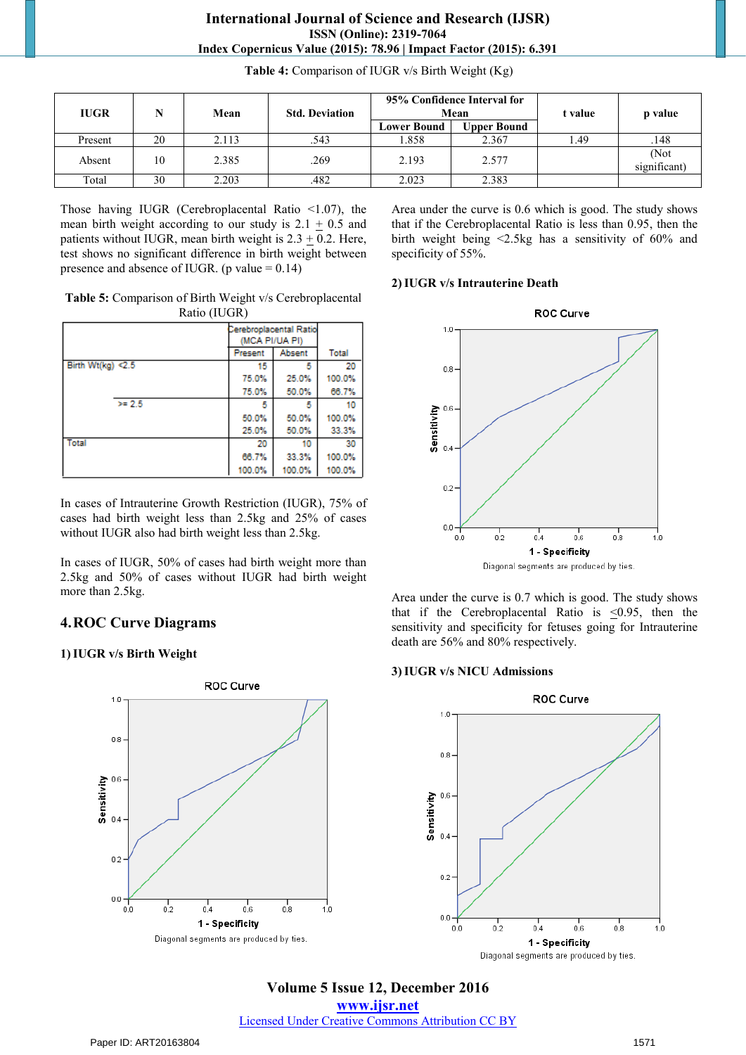| <b>IUGR</b> | N  | 95% Confidence Interval for<br>Mean<br><b>Std. Deviation</b><br>Mean |      |                    | t value     | p value |                      |
|-------------|----|----------------------------------------------------------------------|------|--------------------|-------------|---------|----------------------|
|             |    |                                                                      |      | <b>Lower Bound</b> | Upper Bound |         |                      |
| Present     | 20 | 2.113                                                                | .543 | 1.858              | 2.367       | .49     | .148                 |
| Absent      | 10 | 2.385                                                                | .269 | 2.193              | 2.577       |         | (Not<br>significant) |
| Total       | 30 | 2.203                                                                | .482 | 2.023              | 2.383       |         |                      |

**Table 4:** Comparison of IUGR v/s Birth Weight (Kg)

Those having IUGR (Cerebroplacental Ratio <1.07), the mean birth weight according to our study is  $2.1 + 0.5$  and patients without IUGR, mean birth weight is  $2.3 \pm 0.2$ . Here, test shows no significant difference in birth weight between presence and absence of IUGR. (p value  $= 0.14$ )

**Table 5:** Comparison of Birth Weight v/s Cerebroplacental Ratio (IUGR)

|                      |     | Cerebroplacental Ratio<br>(MCA PI/UA PI) |        |              |
|----------------------|-----|------------------------------------------|--------|--------------|
|                      |     | Present                                  | Absent | <b>Total</b> |
| Birth Wt(kg) < $2.5$ |     | 15                                       | 5      | 20           |
|                      |     | 75.0%                                    | 25.0%  | 100.0%       |
|                      |     | 75.0%                                    | 50.0%  | 66.7%        |
|                      | >25 | Б                                        | 5      | 10           |
|                      |     | 50.0%                                    | 50.0%  | 100.0%       |
|                      |     | 25.0%                                    | 50.0%  | 33.3%        |
| <b>Total</b>         |     | 20                                       | 10     | 30           |
|                      |     | 66.7%                                    | 33.3%  | 100.0%       |
|                      |     | 100.0%                                   | 100.0% | 100.0%       |

In cases of Intrauterine Growth Restriction (IUGR), 75% of cases had birth weight less than 2.5kg and 25% of cases without IUGR also had birth weight less than 2.5kg.

In cases of IUGR, 50% of cases had birth weight more than 2.5kg and 50% of cases without IUGR had birth weight more than 2.5kg.

# **4.ROC Curve Diagrams**

## **1)IUGR v/s Birth Weight**



Area under the curve is 0.6 which is good. The study shows that if the Cerebroplacental Ratio is less than 0.95, then the birth weight being <2.5kg has a sensitivity of 60% and specificity of 55%.

#### **2)IUGR v/s Intrauterine Death**



Area under the curve is 0.7 which is good. The study shows that if the Cerebroplacental Ratio is  $\leq 0.95$ , then the sensitivity and specificity for fetuses going for Intrauterine death are 56% and 80% respectively.

#### **3)IUGR v/s NICU Admissions**



**Volume 5 Issue 12, December 2016 www.ijsr.net** Licensed Under Creative Commons Attribution CC BY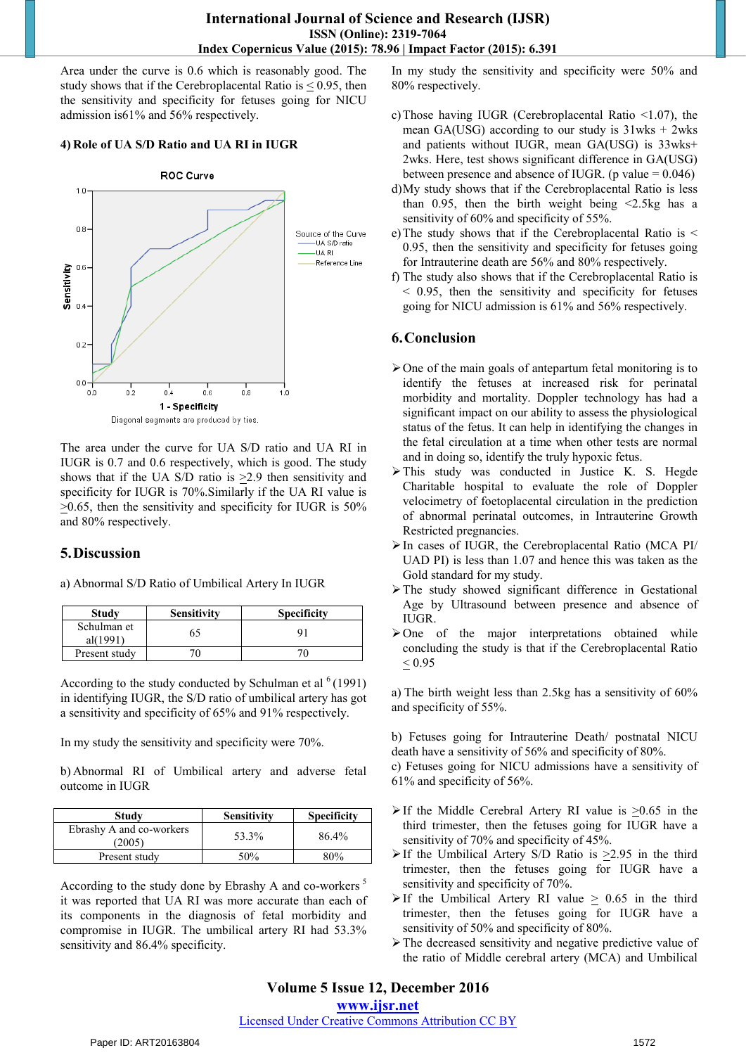Area under the curve is 0.6 which is reasonably good. The study shows that if the Cerebroplacental Ratio is  $\leq$  0.95, then the sensitivity and specificity for fetuses going for NICU admission is61% and 56% respectively.

#### **4) Role of UA S/D Ratio and UA RI in IUGR**



Diagonal segments are produced by ties.

The area under the curve for UA S/D ratio and UA RI in IUGR is 0.7 and 0.6 respectively, which is good. The study shows that if the UA S/D ratio is >2.9 then sensitivity and specificity for IUGR is 70%.Similarly if the UA RI value is  $\geq$ 0.65, then the sensitivity and specificity for IUGR is 50% and 80% respectively.

## **5.Discussion**

| <b>Study</b>            | <b>Sensitivity</b> | <b>Specificity</b> |
|-------------------------|--------------------|--------------------|
| Schulman et<br>al(1991) |                    |                    |
| Present study           |                    |                    |

a) Abnormal S/D Ratio of Umbilical Artery In IUGR

According to the study conducted by Schulman et al  $(1991)$ in identifying IUGR, the S/D ratio of umbilical artery has got a sensitivity and specificity of 65% and 91% respectively.

In my study the sensitivity and specificity were 70%.

b) Abnormal RI of Umbilical artery and adverse fetal outcome in IUGR

| Study                              | <b>Sensitivity</b> | <b>Specificity</b> |
|------------------------------------|--------------------|--------------------|
| Ebrashy A and co-workers<br>(2005) | 53.3%              | 86.4%              |
| Present study                      | 50%                | 80%                |

According to the study done by Ebrashy A and co-workers<sup>5</sup> it was reported that UA RI was more accurate than each of its components in the diagnosis of fetal morbidity and compromise in IUGR. The umbilical artery RI had 53.3% sensitivity and 86.4% specificity.

In my study the sensitivity and specificity were 50% and 80% respectively.

- c)Those having IUGR (Cerebroplacental Ratio <1.07), the mean GA(USG) according to our study is  $31wks + 2wks$ and patients without IUGR, mean GA(USG) is 33wks+ 2wks. Here, test shows significant difference in GA(USG) between presence and absence of IUGR. (p value  $= 0.046$ )
- d)My study shows that if the Cerebroplacental Ratio is less than 0.95, then the birth weight being  $\leq$ 2.5kg has a sensitivity of 60% and specificity of 55%.
- e)The study shows that if the Cerebroplacental Ratio is < 0.95, then the sensitivity and specificity for fetuses going for Intrauterine death are 56% and 80% respectively.
- f) The study also shows that if the Cerebroplacental Ratio is < 0.95, then the sensitivity and specificity for fetuses going for NICU admission is 61% and 56% respectively.

# **6.Conclusion**

- $\triangleright$  One of the main goals of antepartum fetal monitoring is to identify the fetuses at increased risk for perinatal morbidity and mortality. Doppler technology has had a significant impact on our ability to assess the physiological status of the fetus. It can help in identifying the changes in the fetal circulation at a time when other tests are normal and in doing so, identify the truly hypoxic fetus.
- > This study was conducted in Justice K. S. Hegde Charitable hospital to evaluate the role of Doppler velocimetry of foetoplacental circulation in the prediction of abnormal perinatal outcomes, in Intrauterine Growth Restricted pregnancies.
- $\triangleright$  In cases of IUGR, the Cerebroplacental Ratio (MCA PI/ UAD PI) is less than 1.07 and hence this was taken as the Gold standard for my study.
- $\triangleright$  The study showed significant difference in Gestational Age by Ultrasound between presence and absence of IUGR.
- $\triangleright$  One of the major interpretations obtained while concluding the study is that if the Cerebroplacental Ratio  $< 0.95$

a) The birth weight less than 2.5kg has a sensitivity of 60% and specificity of 55%.

b) Fetuses going for Intrauterine Death/ postnatal NICU death have a sensitivity of 56% and specificity of 80%.

c) Fetuses going for NICU admissions have a sensitivity of 61% and specificity of 56%.

- $\triangleright$  If the Middle Cerebral Artery RI value is  $>0.65$  in the third trimester, then the fetuses going for IUGR have a sensitivity of 70% and specificity of 45%.
- $\triangleright$  If the Umbilical Artery S/D Ratio is  $\geq$  1.95 in the third trimester, then the fetuses going for IUGR have a sensitivity and specificity of 70%.
- $\triangleright$  If the Umbilical Artery RI value > 0.65 in the third trimester, then the fetuses going for IUGR have a sensitivity of 50% and specificity of 80%.
- The decreased sensitivity and negative predictive value of the ratio of Middle cerebral artery (MCA) and Umbilical

# **Volume 5 Issue 12, December 2016**

**www.ijsr.net**

Licensed Under Creative Commons Attribution CC BY